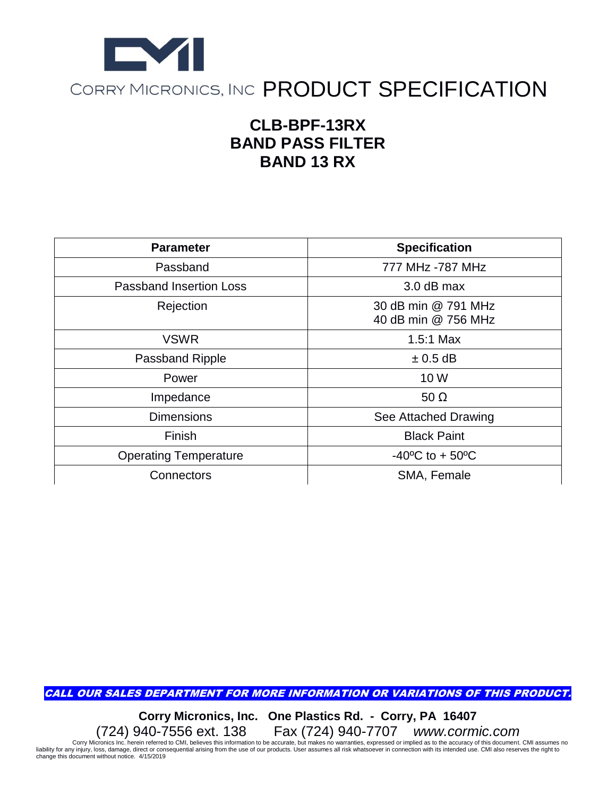

## **CLB-BPF-13RX BAND PASS FILTER BAND 13 RX**

| <b>Parameter</b>               | <b>Specification</b>                       |
|--------------------------------|--------------------------------------------|
| Passband                       | 777 MHz -787 MHz                           |
| <b>Passband Insertion Loss</b> | 3.0 dB max                                 |
| Rejection                      | 30 dB min @ 791 MHz<br>40 dB min @ 756 MHz |
| <b>VSWR</b>                    | $1.5:1$ Max                                |
| Passband Ripple                | $\pm$ 0.5 dB                               |
| Power                          | 10 W                                       |
| Impedance                      | 50 $\Omega$                                |
| <b>Dimensions</b>              | See Attached Drawing                       |
| Finish                         | <b>Black Paint</b>                         |
| <b>Operating Temperature</b>   | $-40^{\circ}$ C to + 50 $^{\circ}$ C       |
| Connectors                     | SMA, Female                                |

CALL OUR SALES DEPARTMENT FOR MORE INFORMATION OR VARIATIONS OF THIS PRODUCT.

**Corry Micronics, Inc. One Plastics Rd. - Corry, PA 16407** (724) 940-7556 ext. 138 Fax (724) 940-7707 *www.cormic.com*

Corry Micronics Inc. herein referred to CMI, believes this information to be accurate, but makes no warranties, expressed or implied as to the accuracy of this document. CMI assumes no with its intended use. CMI also reser change this document without notice. 4/15/2019